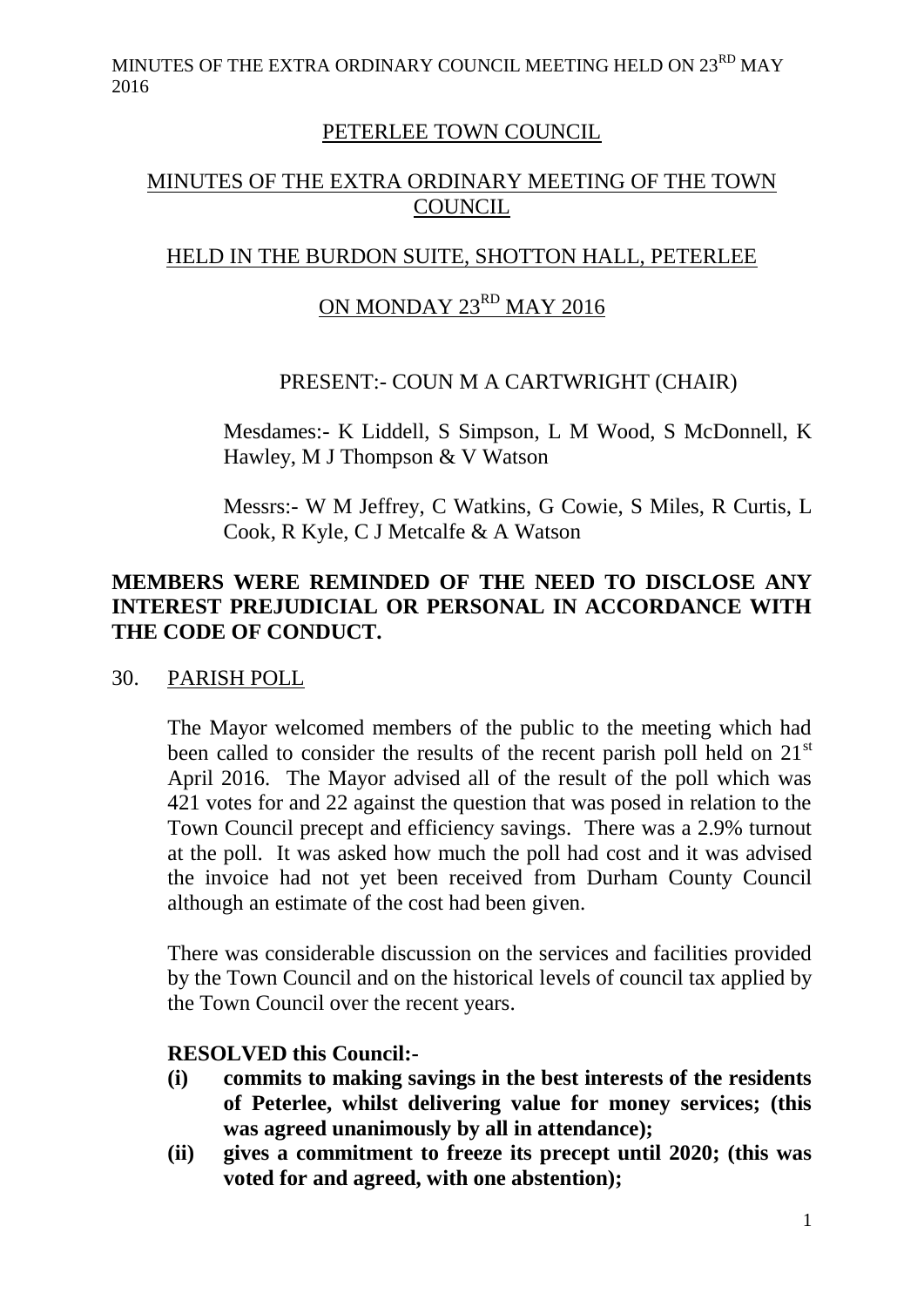MINUTES OF THE EXTRA ORDINARY COUNCIL MEETING HELD ON  $23^{\text{RD}}$  MAY 2016

## PETERLEE TOWN COUNCIL

# MINUTES OF THE EXTRA ORDINARY MEETING OF THE TOWN COUNCIL

# HELD IN THE BURDON SUITE, SHOTTON HALL, PETERLEE

# ON MONDAY 23RD MAY 2016

#### PRESENT:- COUN M A CARTWRIGHT (CHAIR)

Mesdames:- K Liddell, S Simpson, L M Wood, S McDonnell, K Hawley, M J Thompson & V Watson

Messrs:- W M Jeffrey, C Watkins, G Cowie, S Miles, R Curtis, L Cook, R Kyle, C J Metcalfe & A Watson

## **MEMBERS WERE REMINDED OF THE NEED TO DISCLOSE ANY INTEREST PREJUDICIAL OR PERSONAL IN ACCORDANCE WITH THE CODE OF CONDUCT.**

#### 30. PARISH POLL

The Mayor welcomed members of the public to the meeting which had been called to consider the results of the recent parish poll held on  $21<sup>st</sup>$ April 2016. The Mayor advised all of the result of the poll which was 421 votes for and 22 against the question that was posed in relation to the Town Council precept and efficiency savings. There was a 2.9% turnout at the poll. It was asked how much the poll had cost and it was advised the invoice had not yet been received from Durham County Council although an estimate of the cost had been given.

There was considerable discussion on the services and facilities provided by the Town Council and on the historical levels of council tax applied by the Town Council over the recent years.

#### **RESOLVED this Council:-**

- **(i) commits to making savings in the best interests of the residents of Peterlee, whilst delivering value for money services; (this was agreed unanimously by all in attendance);**
- **(ii) gives a commitment to freeze its precept until 2020; (this was voted for and agreed, with one abstention);**